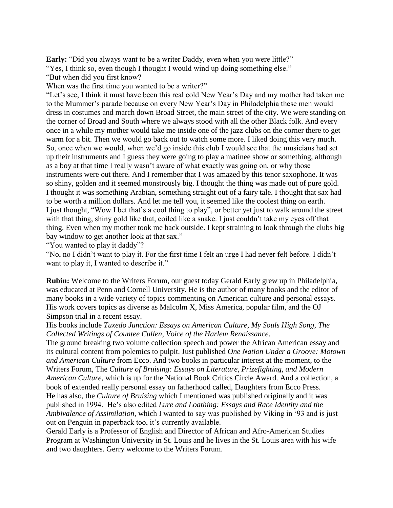**Early:** "Did you always want to be a writer Daddy, even when you were little?"

"Yes, I think so, even though I thought I would wind up doing something else."

"But when did you first know?

When was the first time you wanted to be a writer?"

"Let's see, I think it must have been this real cold New Year's Day and my mother had taken me to the Mummer's parade because on every New Year's Day in Philadelphia these men would dress in costumes and march down Broad Street, the main street of the city. We were standing on the corner of Broad and South where we always stood with all the other Black folk. And every once in a while my mother would take me inside one of the jazz clubs on the corner there to get warm for a bit. Then we would go back out to watch some more. I liked doing this very much. So, once when we would, when we'd go inside this club I would see that the musicians had set up their instruments and I guess they were going to play a matinee show or something, although as a boy at that time I really wasn't aware of what exactly was going on, or why those instruments were out there. And I remember that I was amazed by this tenor saxophone. It was so shiny, golden and it seemed monstrously big. I thought the thing was made out of pure gold. I thought it was something Arabian, something straight out of a fairy tale. I thought that sax had to be worth a million dollars. And let me tell you, it seemed like the coolest thing on earth. I just thought, "Wow I bet that's a cool thing to play", or better yet just to walk around the street with that thing, shiny gold like that, coiled like a snake. I just couldn't take my eyes off that thing. Even when my mother took me back outside. I kept straining to look through the clubs big bay window to get another look at that sax."

"You wanted to play it daddy"?

"No, no I didn't want to play it. For the first time I felt an urge I had never felt before. I didn't want to play it, I wanted to describe it."

**Rubin:** Welcome to the Writers Forum, our guest today Gerald Early grew up in Philadelphia, was educated at Penn and Cornell University. He is the author of many books and the editor of many books in a wide variety of topics commenting on American culture and personal essays. His work covers topics as diverse as Malcolm X, Miss America, popular film, and the OJ Simpson trial in a recent essay.

His books include *Tuxedo Junction: Essays on American Culture*, *My Souls High Song*, *The Collected Writings of Countee Cullen*, *Voice of the Harlem Renaissance*.

The ground breaking two volume collection speech and power the African American essay and its cultural content from polemics to pulpit. Just published *One Nation Under a Groove: Motown and American Culture* from Ecco. And two books in particular interest at the moment, to the Writers Forum, The *Culture of Bruising: Essays on Literature, Prizefighting, and Modern American Culture*, which is up for the National Book Critics Circle Award. And a collection, a book of extended really personal essay on fatherhood called, Daughters from Ecco Press. He has also, the *Culture of Bruising* which I mentioned was published originally and it was published in 1994. He's also edited *Lure and Loathing: Essays and Race Identity and the Ambivalence of Assimilation*, which I wanted to say was published by Viking in '93 and is just out on Penguin in paperback too, it's currently available.

Gerald Early is a Professor of English and Director of African and Afro-American Studies Program at Washington University in St. Louis and he lives in the St. Louis area with his wife and two daughters. Gerry welcome to the Writers Forum.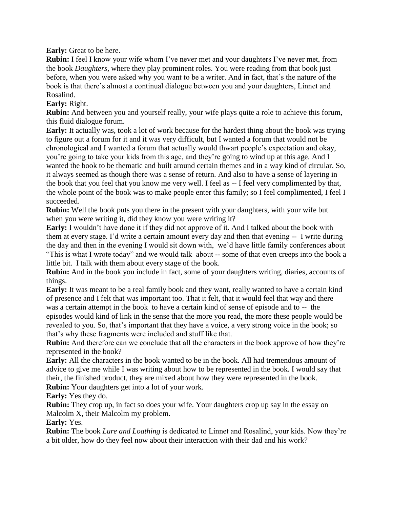## **Early:** Great to be here.

**Rubin:** I feel I know your wife whom I've never met and your daughters I've never met, from the book *Daughters*, where they play prominent roles. You were reading from that book just before, when you were asked why you want to be a writer. And in fact, that's the nature of the book is that there's almost a continual dialogue between you and your daughters, Linnet and Rosalind.

## **Early:** Right.

**Rubin:** And between you and yourself really, your wife plays quite a role to achieve this forum, this fluid dialogue forum.

**Early:** It actually was, took a lot of work because for the hardest thing about the book was trying to figure out a forum for it and it was very difficult, but I wanted a forum that would not be chronological and I wanted a forum that actually would thwart people's expectation and okay, you're going to take your kids from this age, and they're going to wind up at this age. And I wanted the book to be thematic and built around certain themes and in a way kind of circular. So, it always seemed as though there was a sense of return. And also to have a sense of layering in the book that you feel that you know me very well. I feel as -- I feel very complimented by that, the whole point of the book was to make people enter this family; so I feel complimented, I feel I succeeded.

**Rubin:** Well the book puts you there in the present with your daughters, with your wife but when you were writing it, did they know you were writing it?

**Early:** I wouldn't have done it if they did not approve of it. And I talked about the book with them at every stage. I'd write a certain amount every day and then that evening -- I write during the day and then in the evening I would sit down with, we'd have little family conferences about "This is what I wrote today" and we would talk about -- some of that even creeps into the book a little bit. I talk with them about every stage of the book.

**Rubin:** And in the book you include in fact, some of your daughters writing, diaries, accounts of things.

**Early:** It was meant to be a real family book and they want, really wanted to have a certain kind of presence and I felt that was important too. That it felt, that it would feel that way and there was a certain attempt in the book to have a certain kind of sense of episode and to -- the episodes would kind of link in the sense that the more you read, the more these people would be revealed to you. So, that's important that they have a voice, a very strong voice in the book; so that's why these fragments were included and stuff like that.

**Rubin:** And therefore can we conclude that all the characters in the book approve of how they're represented in the book?

**Early:** All the characters in the book wanted to be in the book. All had tremendous amount of advice to give me while I was writing about how to be represented in the book. I would say that their, the finished product, they are mixed about how they were represented in the book.

**Rubin:** Your daughters get into a lot of your work.

**Early:** Yes they do.

**Rubin:** They crop up, in fact so does your wife. Your daughters crop up say in the essay on Malcolm X, their Malcolm my problem.

**Early:** Yes.

**Rubin:** The book *Lure and Loathing* is dedicated to Linnet and Rosalind, your kids. Now they're a bit older, how do they feel now about their interaction with their dad and his work?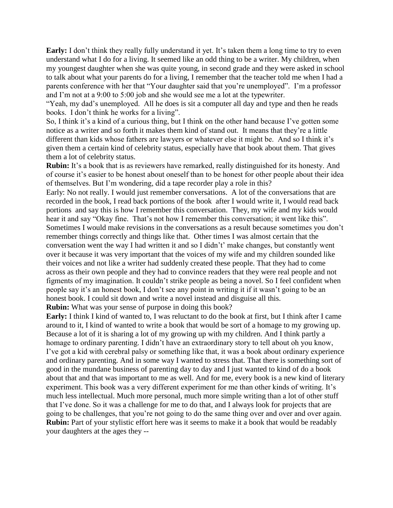**Early:** I don't think they really fully understand it yet. It's taken them a long time to try to even understand what I do for a living. It seemed like an odd thing to be a writer. My children, when my youngest daughter when she was quite young, in second grade and they were asked in school to talk about what your parents do for a living, I remember that the teacher told me when I had a parents conference with her that "Your daughter said that you're unemployed". I'm a professor and I'm not at a 9:00 to 5:00 job and she would see me a lot at the typewriter.

"Yeah, my dad's unemployed. All he does is sit a computer all day and type and then he reads books. I don't think he works for a living".

So, I think it's a kind of a curious thing, but I think on the other hand because I've gotten some notice as a writer and so forth it makes them kind of stand out. It means that they're a little different than kids whose fathers are lawyers or whatever else it might be. And so I think it's given them a certain kind of celebrity status, especially have that book about them. That gives them a lot of celebrity status.

**Rubin:** It's a book that is as reviewers have remarked, really distinguished for its honesty. And of course it's easier to be honest about oneself than to be honest for other people about their idea of themselves. But I'm wondering, did a tape recorder play a role in this?

Early: No not really. I would just remember conversations. A lot of the conversations that are recorded in the book, I read back portions of the book after I would write it, I would read back portions and say this is how I remember this conversation. They, my wife and my kids would hear it and say "Okay fine. That's not how I remember this conversation; it went like this". Sometimes I would make revisions in the conversations as a result because sometimes you don't remember things correctly and things like that. Other times I was almost certain that the conversation went the way I had written it and so I didn't' make changes, but constantly went over it because it was very important that the voices of my wife and my children sounded like their voices and not like a writer had suddenly created these people. That they had to come across as their own people and they had to convince readers that they were real people and not figments of my imagination. It couldn't strike people as being a novel. So I feel confident when people say it's an honest book, I don't see any point in writing it if it wasn't going to be an honest book. I could sit down and write a novel instead and disguise all this.

**Rubin:** What was your sense of purpose in doing this book?

**Early:** I think I kind of wanted to, I was reluctant to do the book at first, but I think after I came around to it, I kind of wanted to write a book that would be sort of a homage to my growing up. Because a lot of it is sharing a lot of my growing up with my children. And I think partly a homage to ordinary parenting. I didn't have an extraordinary story to tell about oh you know, I've got a kid with cerebral palsy or something like that, it was a book about ordinary experience and ordinary parenting. And in some way I wanted to stress that. That there is something sort of good in the mundane business of parenting day to day and I just wanted to kind of do a book about that and that was important to me as well. And for me, every book is a new kind of literary experiment. This book was a very different experiment for me than other kinds of writing. It's much less intellectual. Much more personal, much more simple writing than a lot of other stuff that I've done. So it was a challenge for me to do that, and I always look for projects that are going to be challenges, that you're not going to do the same thing over and over and over again. **Rubin:** Part of your stylistic effort here was it seems to make it a book that would be readably your daughters at the ages they --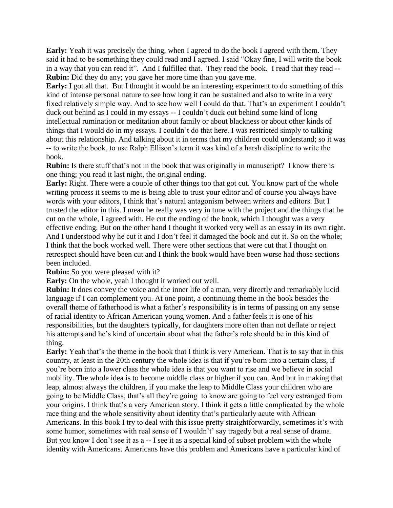**Early:** Yeah it was precisely the thing, when I agreed to do the book I agreed with them. They said it had to be something they could read and I agreed. I said "Okay fine, I will write the book in a way that you can read it". And I fulfilled that. They read the book. I read that they read -- **Rubin:** Did they do any; you gave her more time than you gave me.

**Early:** I got all that. But I thought it would be an interesting experiment to do something of this kind of intense personal nature to see how long it can be sustained and also to write in a very fixed relatively simple way. And to see how well I could do that. That's an experiment I couldn't duck out behind as I could in my essays -- I couldn't duck out behind some kind of long intellectual rumination or meditation about family or about blackness or about other kinds of things that I would do in my essays. I couldn't do that here. I was restricted simply to talking about this relationship. And talking about it in terms that my children could understand; so it was -- to write the book, to use Ralph Ellison's term it was kind of a harsh discipline to write the book.

**Rubin:** Is there stuff that's not in the book that was originally in manuscript? I know there is one thing; you read it last night, the original ending.

**Early:** Right. There were a couple of other things too that got cut. You know part of the whole writing process it seems to me is being able to trust your editor and of course you always have words with your editors, I think that's natural antagonism between writers and editors. But I trusted the editor in this. I mean he really was very in tune with the project and the things that he cut on the whole, I agreed with. He cut the ending of the book, which I thought was a very effective ending. But on the other hand I thought it worked very well as an essay in its own right. And I understood why he cut it and I don't feel it damaged the book and cut it. So on the whole; I think that the book worked well. There were other sections that were cut that I thought on retrospect should have been cut and I think the book would have been worse had those sections been included.

**Rubin:** So you were pleased with it?

**Early:** On the whole, yeah I thought it worked out well.

**Rubin:** It does convey the voice and the inner life of a man, very directly and remarkably lucid language if I can complement you. At one point, a continuing theme in the book besides the overall theme of fatherhood is what a father's responsibility is in terms of passing on any sense of racial identity to African American young women. And a father feels it is one of his responsibilities, but the daughters typically, for daughters more often than not deflate or reject his attempts and he's kind of uncertain about what the father's role should be in this kind of thing.

**Early:** Yeah that's the theme in the book that I think is very American. That is to say that in this country, at least in the 20th century the whole idea is that if you're born into a certain class, if you're born into a lower class the whole idea is that you want to rise and we believe in social mobility. The whole idea is to become middle class or higher if you can. And but in making that leap, almost always the children, if you make the leap to Middle Class your children who are going to be Middle Class, that's all they're going to know are going to feel very estranged from your origins. I think that's a very American story. I think it gets a little complicated by the whole race thing and the whole sensitivity about identity that's particularly acute with African Americans. In this book I try to deal with this issue pretty straightforwardly, sometimes it's with some humor, sometimes with real sense of I wouldn't' say tragedy but a real sense of drama. But you know I don't see it as a -- I see it as a special kind of subset problem with the whole identity with Americans. Americans have this problem and Americans have a particular kind of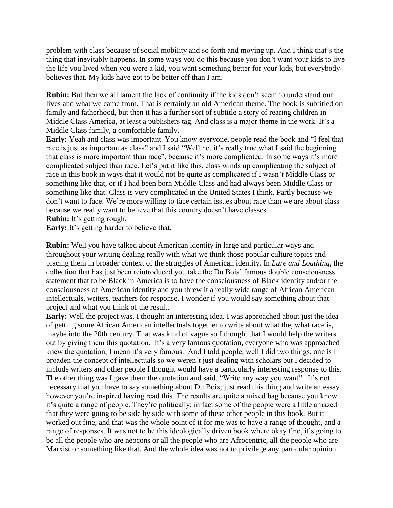problem with class because of social mobility and so forth and moving up. And I think that's the thing that inevitably happens. In some ways you do this because you don't want your kids to live the life you lived when you were a kid, you want something better for your kids, but everybody believes that. My kids have got to be better off than I am.

**Rubin:** But then we all lament the lack of continuity if the kids don't seem to understand our lives and what we came from. That is certainly an old American theme. The book is subtitled on family and fatherhood, but then it has a further sort of subtitle a story of rearing children in Middle Class America, at least a publishers tag. And class is a major theme in the work. It's a Middle Class family, a comfortable family.

**Early:** Yeah and class was important. You know everyone, people read the book and "I feel that race is just as important as class" and I said "Well no, it's really true what I said the beginning that class is more important than race", because it's more complicated. In some ways it's more complicated subject than race. Let's put it like this, class winds up complicating the subject of race in this book in ways that it would not be quite as complicated if I wasn't Middle Class or something like that, or if I had been born Middle Class and had always been Middle Class or something like that. Class is very complicated in the United States I think. Partly because we don't want to face. We're more willing to face certain issues about race than we are about class because we really want to believe that this country doesn't have classes.

**Rubin:** It's getting rough.

**Early:** It's getting harder to believe that.

**Rubin:** Well you have talked about American identity in large and particular ways and throughout your writing dealing really with what we think those popular culture topics and placing them in broader context of the struggles of American identity. In *Lure and Loathing*, the collection that has just been reintroduced you take the Du Bois' famous double consciousness statement that to be Black in America is to have the consciousness of Black identity and/or the consciousness of American identity and you threw it a really wide range of African American intellectuals, writers, teachers for response. I wonder if you would say something about that project and what you think of the result.

**Early:** Well the project was, I thought an interesting idea. I was approached about just the idea of getting some African American intellectuals together to write about what the, what race is, maybe into the 20th century. That was kind of vague so I thought that I would help the writers out by giving them this quotation. It's a very famous quotation, everyone who was approached knew the quotation, I mean it's very famous. And I told people, well I did two things, one is I broaden the concept of intellectuals so we weren't just dealing with scholars but I decided to include writers and other people I thought would have a particularly interesting response to this. The other thing was I gave them the quotation and said, "Write any way you want". It's not necessary that you have to say something about Du Bois; just read this thing and write an essay however you're inspired having read this. The results are quite a mixed bag because you know it's quite a range of people. They're politically; in fact some of the people were a little amazed that they were going to be side by side with some of these other people in this book. But it worked out fine, and that was the whole point of it for me was to have a range of thought, and a range of responses. It was not to be this ideologically driven book where okay fine, it's going to be all the people who are neocons or all the people who are Afrocentric, all the people who are Marxist or something like that. And the whole idea was not to privilege any particular opinion.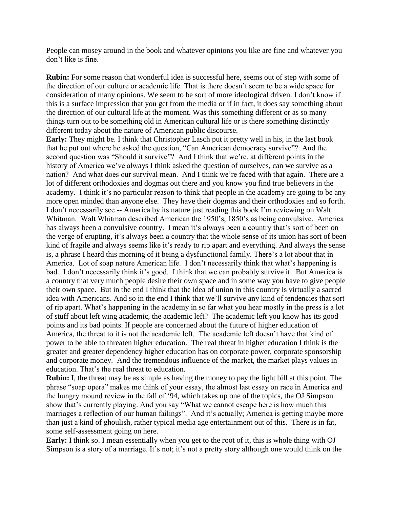People can mosey around in the book and whatever opinions you like are fine and whatever you don't like is fine.

**Rubin:** For some reason that wonderful idea is successful here, seems out of step with some of the direction of our culture or academic life. That is there doesn't seem to be a wide space for consideration of many opinions. We seem to be sort of more ideological driven. I don't know if this is a surface impression that you get from the media or if in fact, it does say something about the direction of our cultural life at the moment. Was this something different or as so many things turn out to be something old in American cultural life or is there something distinctly different today about the nature of American public discourse.

**Early:** They might be. I think that Christopher Lasch put it pretty well in his, in the last book that he put out where he asked the question, "Can American democracy survive"? And the second question was "Should it survive"? And I think that we're, at different points in the history of America we've always I think asked the question of ourselves, can we survive as a nation? And what does our survival mean. And I think we're faced with that again. There are a lot of different orthodoxies and dogmas out there and you know you find true believers in the academy. I think it's no particular reason to think that people in the academy are going to be any more open minded than anyone else. They have their dogmas and their orthodoxies and so forth. I don't necessarily see -- America by its nature just reading this book I'm reviewing on Walt Whitman. Walt Whitman described American the 1950's, 1850's as being convulsive. America has always been a convulsive country. I mean it's always been a country that's sort of been on the verge of erupting, it's always been a country that the whole sense of its union has sort of been kind of fragile and always seems like it's ready to rip apart and everything. And always the sense is, a phrase I heard this morning of it being a dysfunctional family. There's a lot about that in America. Lot of soap nature American life. I don't necessarily think that what's happening is bad. I don't necessarily think it's good. I think that we can probably survive it. But America is a country that very much people desire their own space and in some way you have to give people their own space. But in the end I think that the idea of union in this country is virtually a sacred idea with Americans. And so in the end I think that we'll survive any kind of tendencies that sort of rip apart. What's happening in the academy in so far what you hear mostly in the press is a lot of stuff about left wing academic, the academic left? The academic left you know has its good points and its bad points. If people are concerned about the future of higher education of America, the threat to it is not the academic left. The academic left doesn't have that kind of power to be able to threaten higher education. The real threat in higher education I think is the greater and greater dependency higher education has on corporate power, corporate sponsorship and corporate money. And the tremendous influence of the market, the market plays values in education. That's the real threat to education.

**Rubin:** I, the threat may be as simple as having the money to pay the light bill at this point. The phrase "soap opera" makes me think of your essay, the almost last essay on race in America and the hungry mound review in the fall of '94, which takes up one of the topics, the OJ Simpson show that's currently playing. And you say "What we cannot escape here is how much this marriages a reflection of our human failings". And it's actually; America is getting maybe more than just a kind of ghoulish, rather typical media age entertainment out of this. There is in fat, some self-assessment going on here.

**Early:** I think so. I mean essentially when you get to the root of it, this is whole thing with OJ Simpson is a story of a marriage. It's not; it's not a pretty story although one would think on the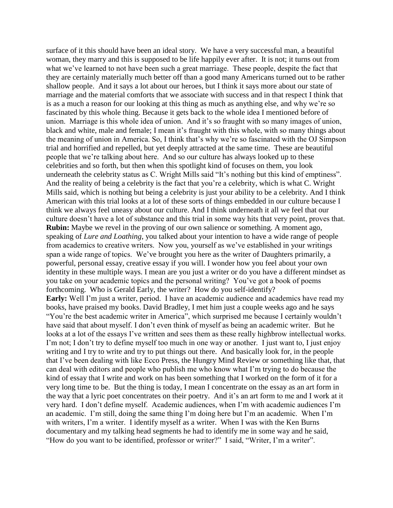surface of it this should have been an ideal story. We have a very successful man, a beautiful woman, they marry and this is supposed to be life happily ever after. It is not; it turns out from what we've learned to not have been such a great marriage. These people, despite the fact that they are certainly materially much better off than a good many Americans turned out to be rather shallow people. And it says a lot about our heroes, but I think it says more about our state of marriage and the material comforts that we associate with success and in that respect I think that is as a much a reason for our looking at this thing as much as anything else, and why we're so fascinated by this whole thing. Because it gets back to the whole idea I mentioned before of union. Marriage is this whole idea of union. And it's so fraught with so many images of union, black and white, male and female; I mean it's fraught with this whole, with so many things about the meaning of union in America. So, I think that's why we're so fascinated with the OJ Simpson trial and horrified and repelled, but yet deeply attracted at the same time. These are beautiful people that we're talking about here. And so our culture has always looked up to these celebrities and so forth, but then when this spotlight kind of focuses on them, you look underneath the celebrity status as C. Wright Mills said "It's nothing but this kind of emptiness". And the reality of being a celebrity is the fact that you're a celebrity, which is what C. Wright Mills said, which is nothing but being a celebrity is just your ability to be a celebrity. And I think American with this trial looks at a lot of these sorts of things embedded in our culture because I think we always feel uneasy about our culture. And I think underneath it all we feel that our culture doesn't have a lot of substance and this trial in some way hits that very point, proves that. **Rubin:** Maybe we revel in the proving of our own salience or something. A moment ago, speaking of *Lure and Loathing*, you talked about your intention to have a wide range of people from academics to creative writers. Now you, yourself as we've established in your writings span a wide range of topics. We've brought you here as the writer of Daughters primarily, a powerful, personal essay, creative essay if you will. I wonder how you feel about your own identity in these multiple ways. I mean are you just a writer or do you have a different mindset as you take on your academic topics and the personal writing? You've got a book of poems forthcoming. Who is Gerald Early, the writer? How do you self-identify? **Early:** Well I'm just a writer, period. I have an academic audience and academics have read my books, have praised my books. David Bradley, I met him just a couple weeks ago and he says "You're the best academic writer in America", which surprised me because I certainly wouldn't have said that about myself. I don't even think of myself as being an academic writer. But he looks at a lot of the essays I've written and sees them as these really highbrow intellectual works. I'm not; I don't try to define myself too much in one way or another. I just want to, I just enjoy writing and I try to write and try to put things out there. And basically look for, in the people that I've been dealing with like Ecco Press, the Hungry Mind Review or something like that, that can deal with editors and people who publish me who know what I'm trying to do because the kind of essay that I write and work on has been something that I worked on the form of it for a very long time to be. But the thing is today, I mean I concentrate on the essay as an art form in the way that a lyric poet concentrates on their poetry. And it's an art form to me and I work at it very hard. I don't define myself. Academic audiences, when I'm with academic audiences I'm an academic. I'm still, doing the same thing I'm doing here but I'm an academic. When I'm with writers, I'm a writer. I identify myself as a writer. When I was with the Ken Burns documentary and my talking head segments he had to identify me in some way and he said, "How do you want to be identified, professor or writer?" I said, "Writer, I'm a writer".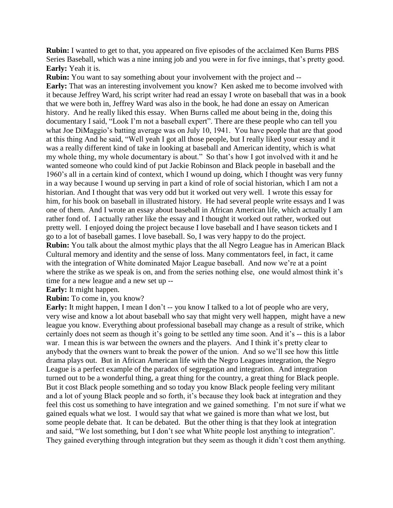**Rubin:** I wanted to get to that, you appeared on five episodes of the acclaimed Ken Burns PBS Series Baseball, which was a nine inning job and you were in for five innings, that's pretty good. **Early:** Yeah it is.

**Rubin:** You want to say something about your involvement with the project and -- **Early:** That was an interesting involvement you know? Ken asked me to become involved with it because Jeffrey Ward, his script writer had read an essay I wrote on baseball that was in a book that we were both in, Jeffrey Ward was also in the book, he had done an essay on American history. And he really liked this essay. When Burns called me about being in the, doing this documentary I said, "Look I'm not a baseball expert". There are these people who can tell you what Joe DiMaggio's batting average was on July 10, 1941. You have people that are that good at this thing And he said, "Well yeah I got all those people, but I really liked your essay and it was a really different kind of take in looking at baseball and American identity, which is what my whole thing, my whole documentary is about." So that's how I got involved with it and he wanted someone who could kind of put Jackie Robinson and Black people in baseball and the 1960's all in a certain kind of context, which I wound up doing, which I thought was very funny in a way because I wound up serving in part a kind of role of social historian, which I am not a historian. And I thought that was very odd but it worked out very well. I wrote this essay for him, for his book on baseball in illustrated history. He had several people write essays and I was one of them. And I wrote an essay about baseball in African American life, which actually I am rather fond of. I actually rather like the essay and I thought it worked out rather, worked out pretty well. I enjoyed doing the project because I love baseball and I have season tickets and I go to a lot of baseball games. I love baseball. So, I was very happy to do the project. **Rubin:** You talk about the almost mythic plays that the all Negro League has in American Black Cultural memory and identity and the sense of loss. Many commentators feel, in fact, it came with the integration of White dominated Major League baseball. And now we're at a point where the strike as we speak is on, and from the series nothing else, one would almost think it's time for a new league and a new set up --

**Early:** It might happen.

**Rubin:** To come in, you know?

**Early:** It might happen, I mean I don't -- you know I talked to a lot of people who are very, very wise and know a lot about baseball who say that might very well happen, might have a new league you know. Everything about professional baseball may change as a result of strike, which certainly does not seem as though it's going to be settled any time soon. And it's -- this is a labor war. I mean this is war between the owners and the players. And I think it's pretty clear to anybody that the owners want to break the power of the union. And so we'll see how this little drama plays out. But in African American life with the Negro Leagues integration, the Negro League is a perfect example of the paradox of segregation and integration. And integration turned out to be a wonderful thing, a great thing for the country, a great thing for Black people. But it cost Black people something and so today you know Black people feeling very militant and a lot of young Black people and so forth, it's because they look back at integration and they feel this cost us something to have integration and we gained something. I'm not sure if what we gained equals what we lost. I would say that what we gained is more than what we lost, but some people debate that. It can be debated. But the other thing is that they look at integration and said, "We lost something, but I don't see what White people lost anything to integration". They gained everything through integration but they seem as though it didn't cost them anything.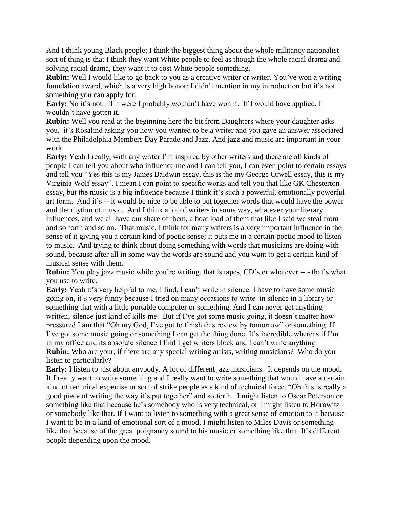And I think young Black people; I think the biggest thing about the whole militancy nationalist sort of thing is that I think they want White people to feel as though the whole racial drama and solving racial drama, they want it to cost White people something.

**Rubin:** Well I would like to go back to you as a creative writer or writer. You've won a writing foundation award, which is a very high honor; I didn't mention in my introduction but it's not something you can apply for.

**Early:** No it's not. If it were I probably wouldn't have won it. If I would have applied, I wouldn't have gotten it.

**Rubin:** Well you read at the beginning here the bit from Daughters where your daughter asks you, it's Rosalind asking you how you wanted to be a writer and you gave an answer associated with the Philadelphia Members Day Parade and Jazz. And jazz and music are important in your work.

**Early:** Yeah I really, with any writer I'm inspired by other writers and there are all kinds of people I can tell you about who influence me and I can tell you, I can even point to certain essays and tell you "Yes this is my James Baldwin essay, this is the my George Orwell essay, this is my Virginia Wolf essay". I mean I can point to specific works and tell you that like GK Chesterton essay, but the music is a big influence because I think it's such a powerful, emotionally powerful art form. And it's -- it would be nice to be able to put together words that would have the power and the rhythm of music. And I think a lot of writers in some way, whatever your literary influences, and we all have our share of them, a boat load of them that like I said we steal from and so forth and so on. That music, I think for many writers is a very important influence in the sense of it giving you a certain kind of poetic sense; it puts me in a certain poetic mood to listen to music. And trying to think about doing something with words that musicians are doing with sound, because after all in some way the words are sound and you want to get a certain kind of musical sense with them.

**Rubin:** You play jazz music while you're writing, that is tapes, CD's or whatever -- - that's what you use to write.

**Early:** Yeah it's very helpful to me. I find, I can't write in silence. I have to have some music going on, it's very funny because I tried on many occasions to write in silence in a library or something that with a little portable computer or something. And I can never get anything written; silence just kind of kills me. But if I've got some music going, it doesn't matter how pressured I am that "Oh my God, I've got to finish this review by tomorrow" or something. If I've got some music going or something I can get the thing done. It's incredible whereas if I'm in my office and its absolute silence I find I get writers block and I can't write anything. **Rubin:** Who are your, if there are any special writing artists, writing musicians? Who do you listen to particularly?

**Early:** I listen to just about anybody. A lot of different jazz musicians. It depends on the mood. If I really want to write something and I really want to write something that would have a certain kind of technical expertise or sort of strike people as a kind of technical force, "Oh this is really a good piece of writing the way it's put together" and so forth. I might listen to Oscar Peterson or something like that because he's somebody who is very technical, or I might listen to Horowitz or somebody like that. If I want to listen to something with a great sense of emotion to it because I want to be in a kind of emotional sort of a mood, I might listen to Miles Davis or something like that because of the great poignancy sound to his music or something like that. It's different people depending upon the mood.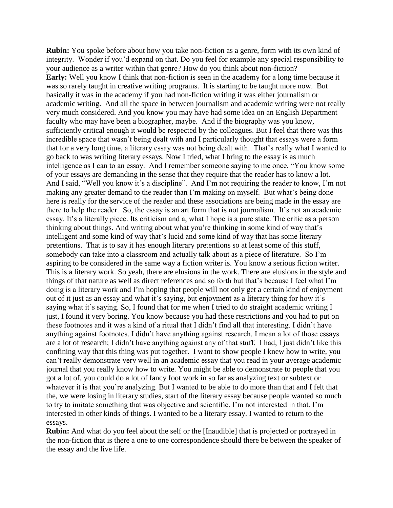**Rubin:** You spoke before about how you take non-fiction as a genre, form with its own kind of integrity. Wonder if you'd expand on that. Do you feel for example any special responsibility to your audience as a writer within that genre? How do you think about non-fiction? **Early:** Well you know I think that non-fiction is seen in the academy for a long time because it was so rarely taught in creative writing programs. It is starting to be taught more now. But basically it was in the academy if you had non-fiction writing it was either journalism or academic writing. And all the space in between journalism and academic writing were not really very much considered. And you know you may have had some idea on an English Department faculty who may have been a biographer, maybe. And if the biography was you know, sufficiently critical enough it would be respected by the colleagues. But I feel that there was this incredible space that wasn't being dealt with and I particularly thought that essays were a form that for a very long time, a literary essay was not being dealt with. That's really what I wanted to go back to was writing literary essays. Now I tried, what I bring to the essay is as much intelligence as I can to an essay. And I remember someone saying to me once, "You know some of your essays are demanding in the sense that they require that the reader has to know a lot. And I said, "Well you know it's a discipline". And I'm not requiring the reader to know, I'm not making any greater demand to the reader than I'm making on myself. But what's being done here is really for the service of the reader and these associations are being made in the essay are there to help the reader. So, the essay is an art form that is not journalism. It's not an academic essay. It's a literally piece. Its criticism and a, what I hope is a pure state. The critic as a person thinking about things. And writing about what you're thinking in some kind of way that's intelligent and some kind of way that's lucid and some kind of way that has some literary pretentions. That is to say it has enough literary pretentions so at least some of this stuff, somebody can take into a classroom and actually talk about as a piece of literature. So I'm aspiring to be considered in the same way a fiction writer is. You know a serious fiction writer. This is a literary work. So yeah, there are elusions in the work. There are elusions in the style and things of that nature as well as direct references and so forth but that's because I feel what I'm doing is a literary work and I'm hoping that people will not only get a certain kind of enjoyment out of it just as an essay and what it's saying, but enjoyment as a literary thing for how it's saying what it's saying. So, I found that for me when I tried to do straight academic writing I just, I found it very boring. You know because you had these restrictions and you had to put on these footnotes and it was a kind of a ritual that I didn't find all that interesting. I didn't have anything against footnotes. I didn't have anything against research. I mean a lot of those essays are a lot of research; I didn't have anything against any of that stuff. I had, I just didn't like this confining way that this thing was put together. I want to show people I knew how to write, you can't really demonstrate very well in an academic essay that you read in your average academic journal that you really know how to write. You might be able to demonstrate to people that you got a lot of, you could do a lot of fancy foot work in so far as analyzing text or subtext or whatever it is that you're analyzing. But I wanted to be able to do more than that and I felt that the, we were losing in literary studies, start of the literary essay because people wanted so much to try to imitate something that was objective and scientific. I'm not interested in that. I'm interested in other kinds of things. I wanted to be a literary essay. I wanted to return to the essays.

**Rubin:** And what do you feel about the self or the [Inaudible] that is projected or portrayed in the non-fiction that is there a one to one correspondence should there be between the speaker of the essay and the live life.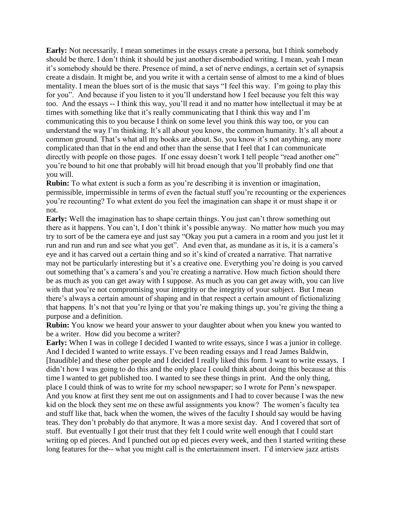**Early:** Not necessarily. I mean sometimes in the essays create a persona, but I think somebody should be there. I don't think it should be just another disembodied writing. I mean, yeah I mean it's somebody should be there. Presence of mind, a set of nerve endings, a certain set of synapsis create a disdain. It might be, and you write it with a certain sense of almost to me a kind of blues mentality. I mean the blues sort of is the music that says "I feel this way. I'm going to play this for you". And because if you listen to it you'll understand how I feel because you felt this way too. And the essays -- I think this way, you'll read it and no matter how intellectual it may be at times with something like that it's really communicating that I think this way and I'm communicating this to you because I think on some level you think this way too, or you can understand the way I'm thinking. It's all about you know, the common humanity. It's all about a common ground. That's what all my books are about. So, you know it's not anything, any more complicated than that in the end and other than the sense that I feel that I can communicate directly with people on those pages. If one essay doesn't work I tell people "read another one" you're bound to hit one that probably will hit broad enough that you'll probably find one that you will.

**Rubin:** To what extent is such a form as you're describing it is invention or imagination, permissible, impermissible in terms of even the factual stuff you're recounting or the experiences you're recounting? To what extent do you feel the imagination can shape it or must shape it or not.

**Early:** Well the imagination has to shape certain things. You just can't throw something out there as it happens. You can't, I don't think it's possible anyway. No matter how much you may try to sort of be the camera eye and just say "Okay you put a camera in a room and you just let it run and run and run and see what you get". And even that, as mundane as it is, it is a camera's eye and it has carved out a certain thing and so it's kind of created a narrative. That narrative may not be particularly interesting but it's a creative one. Everything you're doing is you carved out something that's a camera's and you're creating a narrative. How much fiction should there be as much as you can get away with I suppose. As much as you can get away with, you can live with that you're not compromising your integrity or the integrity of your subject. But I mean there's always a certain amount of shaping and in that respect a certain amount of fictionalizing that happens. It's not that you're lying or that you're making things up, you're giving the thing a purpose and a definition.

**Rubin:** You know we heard your answer to your daughter about when you knew you wanted to be a writer. How did you become a writer?

**Early:** When I was in college I decided I wanted to write essays, since I was a junior in college. And I decided I wanted to write essays. I've been reading essays and I read James Baldwin, [Inaudible] and these other people and I decided I really liked this form. I want to write essays. I didn't how I was going to do this and the only place I could think about doing this because at this time I wanted to get published too. I wanted to see these things in print. And the only thing, place I could think of was to write for my school newspaper; so I wrote for Penn's newspaper. And you know at first they sent me out on assignments and I had to cover because I was the new kid on the block they sent me on these awful assignments you know? The women's faculty tea and stuff like that, back when the women, the wives of the faculty I should say would be having teas. They don't probably do that anymore. It was a more sexist day. And I covered that sort of stuff. But eventually I got their trust that they felt I could write well enough that I could start writing op ed pieces. And I punched out op ed pieces every week, and then I started writing these long features for the-- what you might call is the entertainment insert. I'd interview jazz artists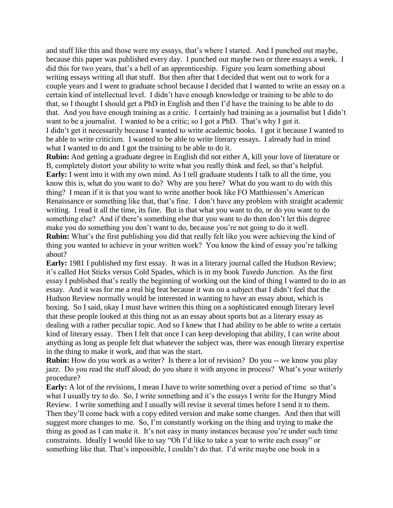and stuff like this and those were my essays, that's where I started. And I punched out maybe, because this paper was published every day. I punched out maybe two or three essays a week. I did this for two years, that's a hell of an apprenticeship. Figure you learn something about writing essays writing all that stuff. But then after that I decided that went out to work for a couple years and I went to graduate school because I decided that I wanted to write an essay on a certain kind of intellectual level. I didn't have enough knowledge or training to be able to do that, so I thought I should get a PhD in English and then I'd have the training to be able to do that. And you have enough training as a critic. I certainly had training as a journalist but I didn't want to be a journalist. I wanted to be a critic; so I got a PhD. That's why I got it. I didn't get it necessarily because I wanted to write academic books. I got it because I wanted to be able to write criticism. I wanted to be able to write literary essays. I already had in mind what I wanted to do and I got the training to be able to do it.

**Rubin:** And getting a graduate degree in English did not either A, kill your love of literature or B, completely distort your ability to write what you really think and feel, so that's helpful. **Early:** I went into it with my own mind. As I tell graduate students I talk to all the time, you know this is, what do you want to do? Why are you here? What do you want to do with this thing? I mean if it is that you want to write another book like FO Matthiessen's American Renaissance or something like that, that's fine. I don't have any problem with straight academic writing. I read it all the time, its fine. But is that what you want to do, or do you want to do something else? And if there's something else that you want to do then don't let this degree make you do something you don't want to do, because you're not going to do it well.

**Rubin:** What's the first publishing you did that really felt like you were achieving the kind of thing you wanted to achieve in your written work? You know the kind of essay you're talking about?

**Early:** 1981 I published my first essay. It was in a literary journal called the Hudson Review; it's called Hot Sticks versus Cold Spades, which is in my book *Tuxedo Junction*. As the first essay I published that's really the beginning of working out the kind of thing I wanted to do in an essay. And it was for me a real big feat because it was on a subject that I didn't feel that the Hudson Review normally would be interested in wanting to have an essay about, which is boxing. So I said, okay I must have written this thing on a sophisticated enough literary level that these people looked at this thing not as an essay about sports but as a literary essay as dealing with a rather peculiar topic. And so I knew that I had ability to be able to write a certain kind of literary essay. Then I felt that once I can keep developing that ability, I can write about anything as long as people felt that whatever the subject was, there was enough literary expertise in the thing to make it work, and that was the start.

**Rubin:** How do you work as a writer? Is there a lot of revision? Do you -- we know you play jazz. Do you read the stuff aloud; do you share it with anyone in process? What's your writerly procedure?

**Early:** A lot of the revisions, I mean I have to write something over a period of time so that's what I usually try to do. So, I write something and it's the essays I write for the Hungry Mind Review. I write something and I usually will revise it several times before I send it to them. Then they'll come back with a copy edited version and make some changes. And then that will suggest more changes to me. So, I'm constantly working on the thing and trying to make the thing as good as I can make it. It's not easy in many instances because you're under such time constraints. Ideally I would like to say "Oh I'd like to take a year to write each essay" or something like that. That's impossible, I couldn't do that. I'd write maybe one book in a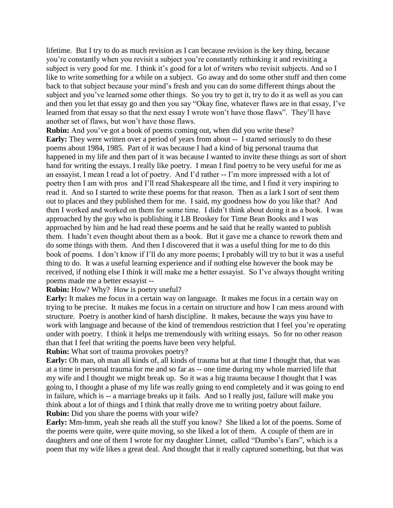lifetime. But I try to do as much revision as I can because revision is the key thing, because you're constantly when you revisit a subject you're constantly rethinking it and revisiting a subject is very good for me. I think it's good for a lot of writers who revisit subjects. And so I like to write something for a while on a subject. Go away and do some other stuff and then come back to that subject because your mind's fresh and you can do some different things about the subject and you've learned some other things. So you try to get it, try to do it as well as you can and then you let that essay go and then you say "Okay fine, whatever flaws are in that essay, I've learned from that essay so that the next essay I wrote won't have those flaws". They'll have another set of flaws, but won't have those flaws.

**Rubin:** And you've got a book of poems coming out, when did you write these? **Early:** They were written over a period of years from about -- I started seriously to do these poems about 1984, 1985. Part of it was because I had a kind of big personal trauma that happened in my life and then part of it was because I wanted to invite these things as sort of short hand for writing the essays. I really like poetry. I mean I find poetry to be very useful for me as an essayist, I mean I read a lot of poetry. And I'd rather -- I'm more impressed with a lot of poetry then I am with pros and I'll read Shakespeare all the time, and I find it very inspiring to read it. And so I started to write these poems for that reason. Then as a lark I sort of sent them out to places and they published them for me. I said, my goodness how do you like that? And then I worked and worked on them for some time. I didn't think about doing it as a book. I was approached by the guy who is publishing it LB Broskey for Time Bean Books and I was approached by him and he had read these poems and he said that he really wanted to publish them. I hadn't even thought about them as a book. But it gave me a chance to rework them and do some things with them. And then I discovered that it was a useful thing for me to do this book of poems. I don't know if I'll do any more poems; I probably will try to but it was a useful thing to do. It was a useful learning experience and if nothing else however the book may be received, if nothing else I think it will make me a better essayist. So I've always thought writing poems made me a better essayist --

**Rubin:** How? Why? How is poetry useful?

**Early:** It makes me focus in a certain way on language. It makes me focus in a certain way on trying to be precise. It makes me focus in a certain on structure and how I can mess around with structure. Poetry is another kind of harsh discipline. It makes, because the ways you have to work with language and because of the kind of tremendous restriction that I feel you're operating under with poetry. I think it helps me tremendously with writing essays. So for no other reason than that I feel that writing the poems have been very helpful.

## **Rubin:** What sort of trauma provokes poetry?

**Early:** Oh man, oh man all kinds of, all kinds of trauma but at that time I thought that, that was at a time in personal trauma for me and so far as -- one time during my whole married life that my wife and I thought we might break up. So it was a big trauma because I thought that I was going to, I thought a phase of my life was really going to end completely and it was going to end in failure, which is -- a marriage breaks up it fails. And so I really just, failure will make you think about a lot of things and I think that really drove me to writing poetry about failure. **Rubin:** Did you share the poems with your wife?

**Early:** Mm-hmm, yeah she reads all the stuff you know? She liked a lot of the poems. Some of the poems were quite, were quite moving, so she liked a lot of them. A couple of them are in daughters and one of them I wrote for my daughter Linnet, called "Dumbo's Ears", which is a poem that my wife likes a great deal. And thought that it really captured something, but that was